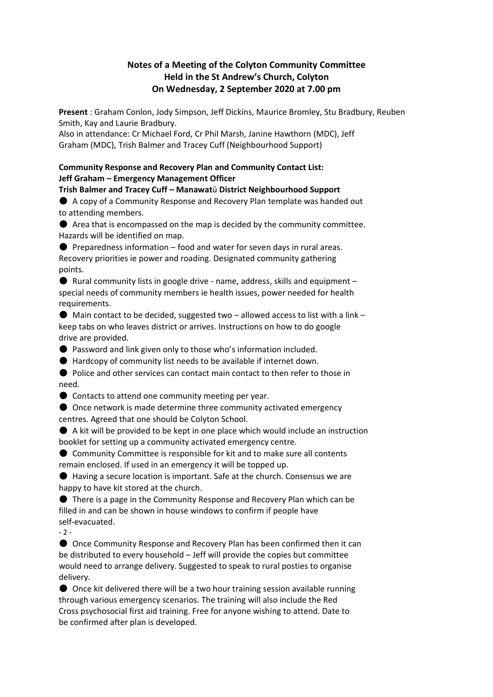# **Notes of a Meeting of the Colyton Community Committee Held in the St Andrew's Church, Colyton On Wednesday, 2 September 2020 at 7.00 pm**

**Present** : Graham Conlon, Jody Simpson, Jeff Dickins, Maurice Bromley, Stu Bradbury, Reuben Smith, Kay and Laurie Bradbury.

Also in attendance: Cr Michael Ford, Cr Phil Marsh, Janine Hawthorn (MDC), Jeff Graham (MDC), Trish Balmer and Tracey Cuff (Neighbourhood Support)

### **Community Response and Recovery Plan and Community Contact List: Jeff Graham – Emergency Management Officer**

**Trish Balmer and Tracey Cuff – Manawat**ū **District Neighbourhood Support** ● A copy of a Community Response and Recovery Plan template was handed out to attending members.

● Area that is encompassed on the map is decided by the community committee. Hazards will be identified on map.

 $\bullet$  Preparedness information – food and water for seven days in rural areas. Recovery priorities ie power and roading. Designated community gathering points.

 $\bullet$  Rural community lists in google drive - name, address, skills and equipment special needs of community members ie health issues, power needed for health requirements.

 $\bullet$  Main contact to be decided, suggested two – allowed access to list with a link – keep tabs on who leaves district or arrives. Instructions on how to do google drive are provided.

● Password and link given only to those who's information included.

● Hardcopy of community list needs to be available if internet down.

● Police and other services can contact main contact to then refer to those in need.

● Contacts to attend one community meeting per year.

● Once network is made determine three community activated emergency centres. Agreed that one should be Colyton School.

 $\bullet$  A kit will be provided to be kept in one place which would include an instruction booklet for setting up a community activated emergency centre.

● Community Committee is responsible for kit and to make sure all contents remain enclosed. If used in an emergency it will be topped up.

● Having a secure location is important. Safe at the church. Consensus we are happy to have kit stored at the church.

● There is a page in the Community Response and Recovery Plan which can be filled in and can be shown in house windows to confirm if people have self-evacuated.

 $-2 -$ 

● Once Community Response and Recovery Plan has been confirmed then it can be distributed to every household – Jeff will provide the copies but committee would need to arrange delivery. Suggested to speak to rural posties to organise delivery.

● Once kit delivered there will be a two hour training session available running through various emergency scenarios. The training will also include the Red Cross psychosocial first aid training. Free for anyone wishing to attend. Date to be confirmed after plan is developed.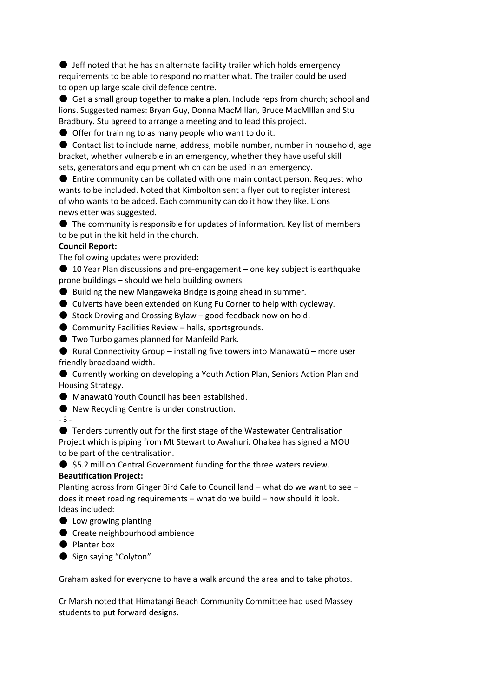$\bullet$  Jeff noted that he has an alternate facility trailer which holds emergency requirements to be able to respond no matter what. The trailer could be used to open up large scale civil defence centre.

● Get a small group together to make a plan. Include reps from church; school and lions. Suggested names: Bryan Guy, Donna MacMillan, Bruce MacMIllan and Stu Bradbury. Stu agreed to arrange a meeting and to lead this project.

● Offer for training to as many people who want to do it.

● Contact list to include name, address, mobile number, number in household, age bracket, whether vulnerable in an emergency, whether they have useful skill sets, generators and equipment which can be used in an emergency.

● Entire community can be collated with one main contact person. Request who wants to be included. Noted that Kimbolton sent a flyer out to register interest of who wants to be added. Each community can do it how they like. Lions newsletter was suggested.

● The community is responsible for updates of information. Key list of members to be put in the kit held in the church.

### **Council Report:**

The following updates were provided:

● 10 Year Plan discussions and pre-engagement – one key subject is earthquake prone buildings – should we help building owners.

● Building the new Mangaweka Bridge is going ahead in summer.

● Culverts have been extended on Kung Fu Corner to help with cycleway.

 $\bullet$  Stock Droving and Crossing Bylaw – good feedback now on hold.

● Community Facilities Review – halls, sportsgrounds.

● Two Turbo games planned for Manfeild Park.

 $\bullet$  Rural Connectivity Group – installing five towers into Manawatū – more user friendly broadband width.

● Currently working on developing a Youth Action Plan, Seniors Action Plan and Housing Strategy.

● Manawatū Youth Council has been established.

● New Recycling Centre is under construction.

- 3 -

● Tenders currently out for the first stage of the Wastewater Centralisation Project which is piping from Mt Stewart to Awahuri. Ohakea has signed a MOU to be part of the centralisation.

● \$5.2 million Central Government funding for the three waters review.

# **Beautification Project:**

Planting across from Ginger Bird Cafe to Council land – what do we want to see – does it meet roading requirements – what do we build – how should it look. Ideas included:

- Low growing planting
- Create neighbourhood ambience
- Planter box
- Sign saying "Colyton"

Graham asked for everyone to have a walk around the area and to take photos.

Cr Marsh noted that Himatangi Beach Community Committee had used Massey students to put forward designs.